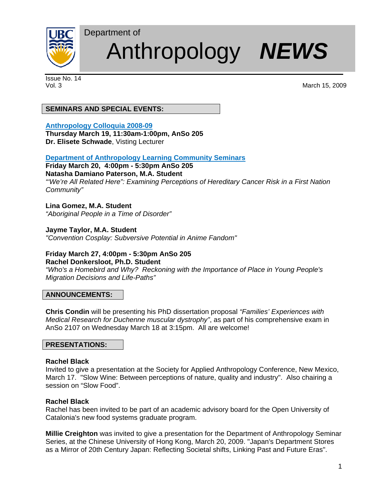

# Anthropology *NEWS*

Issue No. 14

Vol. 3 March 15, 2009

# **SEMINARS AND SPECIAL EVENTS:**

Department of

# **Anthropology Colloquia 2008-09**

**Thursday March 19, 11:30am-1:00pm, AnSo 205 Dr. Elisete Schwade**, Visting Lecturer

# **Department of Anthropology Learning Community Seminars**

# **Friday March 20, 4:00pm - 5:30pm AnSo 205**

# **Natasha Damiano Paterson, M.A. Student**

*"'We're All Related Here": Examining Perceptions of Hereditary Cancer Risk in a First Nation Community"*

# **Lina Gomez, M.A. Student**

*"Aboriginal People in a Time of Disorder"* 

# **Jayme Taylor, M.A. Student**

*"Convention Cosplay: Subversive Potential in Anime Fandom"* 

# **Friday March 27, 4:00pm - 5:30pm AnSo 205**

**Rachel Donkersloot, Ph.D. Student** 

*"Who's a Homebird and Why? Reckoning with the Importance of Place in Young People's Migration Decisions and Life-Paths"* 

# **ANNOUNCEMENTS:**

**Chris Condin** will be presenting his PhD dissertation proposal *"Families' Experiences with Medical Research for Duchenne muscular dystrophy"*, as part of his comprehensive exam in AnSo 2107 on Wednesday March 18 at 3:15pm. All are welcome!

#### **PRESENTATIONS:**

#### **Rachel Black**

Invited to give a presentation at the Society for Applied Anthropology Conference, New Mexico, March 17. "Slow Wine: Between perceptions of nature, quality and industry". Also chairing a session on "Slow Food".

# **Rachel Black**

Rachel has been invited to be part of an academic advisory board for the Open University of Catalonia's new food systems graduate program.

**Millie Creighton** was invited to give a presentation for the Department of Anthropology Seminar Series, at the Chinese University of Hong Kong, March 20, 2009. "Japan's Department Stores as a Mirror of 20th Century Japan: Reflecting Societal shifts, Linking Past and Future Eras".